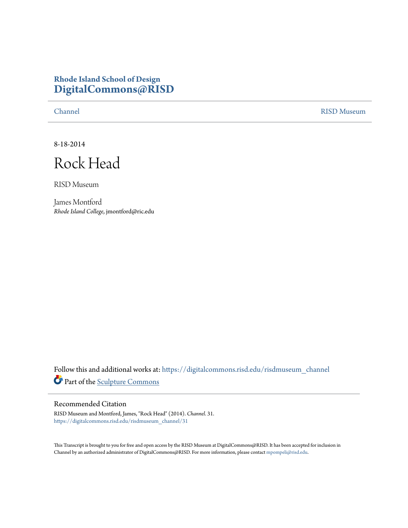## **Rhode Island School of Design [DigitalCommons@RISD](https://digitalcommons.risd.edu?utm_source=digitalcommons.risd.edu%2Frisdmuseum_channel%2F31&utm_medium=PDF&utm_campaign=PDFCoverPages)**

[Channel](https://digitalcommons.risd.edu/risdmuseum_channel?utm_source=digitalcommons.risd.edu%2Frisdmuseum_channel%2F31&utm_medium=PDF&utm_campaign=PDFCoverPages) [RISD Museum](https://digitalcommons.risd.edu/risdmuseum?utm_source=digitalcommons.risd.edu%2Frisdmuseum_channel%2F31&utm_medium=PDF&utm_campaign=PDFCoverPages)

8-18-2014

Rock Head

RISD Museum

James Montford *Rhode Island College*, jmontford@ric.edu

Follow this and additional works at: [https://digitalcommons.risd.edu/risdmuseum\\_channel](https://digitalcommons.risd.edu/risdmuseum_channel?utm_source=digitalcommons.risd.edu%2Frisdmuseum_channel%2F31&utm_medium=PDF&utm_campaign=PDFCoverPages) Part of the [Sculpture Commons](http://network.bepress.com/hgg/discipline/1341?utm_source=digitalcommons.risd.edu%2Frisdmuseum_channel%2F31&utm_medium=PDF&utm_campaign=PDFCoverPages)

## Recommended Citation

RISD Museum and Montford, James, "Rock Head" (2014). *Channel*. 31. [https://digitalcommons.risd.edu/risdmuseum\\_channel/31](https://digitalcommons.risd.edu/risdmuseum_channel/31?utm_source=digitalcommons.risd.edu%2Frisdmuseum_channel%2F31&utm_medium=PDF&utm_campaign=PDFCoverPages)

This Transcript is brought to you for free and open access by the RISD Museum at DigitalCommons@RISD. It has been accepted for inclusion in Channel by an authorized administrator of DigitalCommons@RISD. For more information, please contact [mpompeli@risd.edu.](mailto:mpompeli@risd.edu)